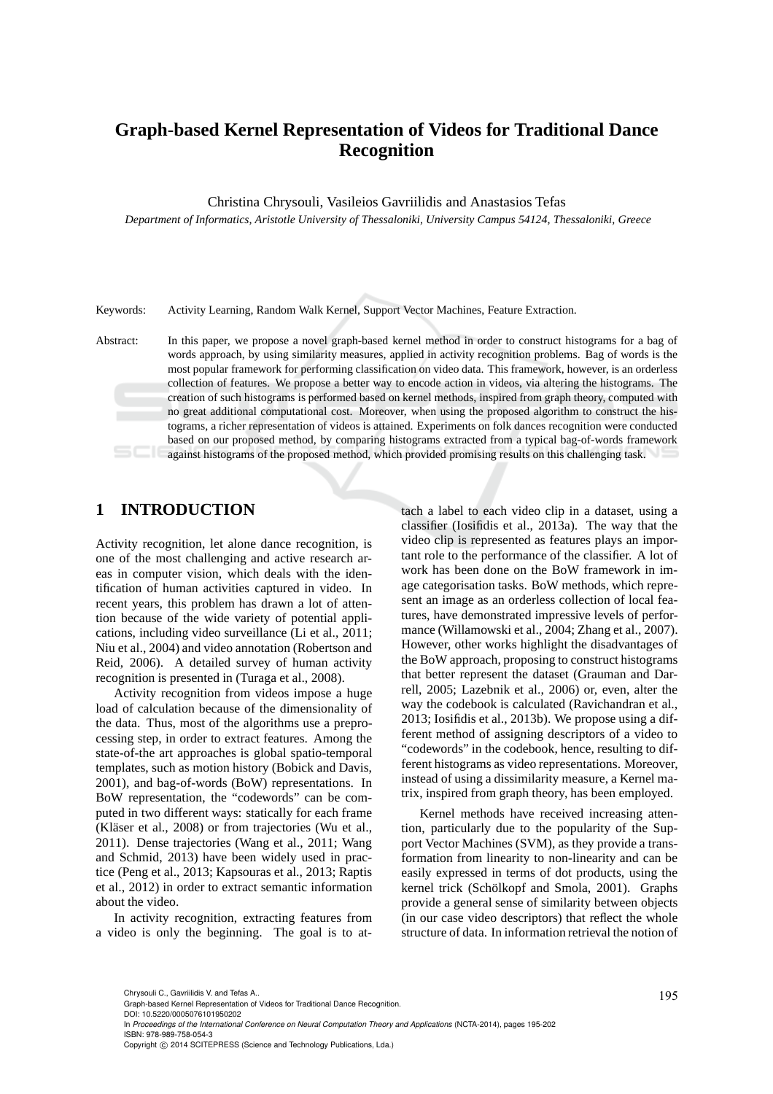# **Graph-based Kernel Representation of Videos for Traditional Dance Recognition**

Christina Chrysouli, Vasileios Gavriilidis and Anastasios Tefas

*Department of Informatics, Aristotle University of Thessaloniki, University Campus 54124, Thessaloniki, Greece*

Keywords: Activity Learning, Random Walk Kernel, Support Vector Machines, Feature Extraction.

Abstract: In this paper, we propose a novel graph-based kernel method in order to construct histograms for a bag of words approach, by using similarity measures, applied in activity recognition problems. Bag of words is the most popular framework for performing classification on video data. This framework, however, is an orderless collection of features. We propose a better way to encode action in videos, via altering the histograms. The creation of such histograms is performed based on kernel methods, inspired from graph theory, computed with no great additional computational cost. Moreover, when using the proposed algorithm to construct the histograms, a richer representation of videos is attained. Experiments on folk dances recognition were conducted based on our proposed method, by comparing histograms extracted from a typical bag-of-words framework against histograms of the proposed method, which provided promising results on this challenging task.

## **1 INTRODUCTION**

Activity recognition, let alone dance recognition, is one of the most challenging and active research areas in computer vision, which deals with the identification of human activities captured in video. In recent years, this problem has drawn a lot of attention because of the wide variety of potential applications, including video surveillance (Li et al., 2011; Niu et al., 2004) and video annotation (Robertson and Reid, 2006). A detailed survey of human activity recognition is presented in (Turaga et al., 2008).

Activity recognition from videos impose a huge load of calculation because of the dimensionality of the data. Thus, most of the algorithms use a preprocessing step, in order to extract features. Among the state-of-the art approaches is global spatio-temporal templates, such as motion history (Bobick and Davis, 2001), and bag-of-words (BoW) representations. In BoW representation, the "codewords" can be computed in two different ways: statically for each frame (Kläser et al.,  $2008$ ) or from trajectories (Wu et al., 2011). Dense trajectories (Wang et al., 2011; Wang and Schmid, 2013) have been widely used in practice (Peng et al., 2013; Kapsouras et al., 2013; Raptis et al., 2012) in order to extract semantic information about the video.

In activity recognition, extracting features from a video is only the beginning. The goal is to at-

tach a label to each video clip in a dataset, using a classifier (Iosifidis et al., 2013a). The way that the video clip is represented as features plays an important role to the performance of the classifier. A lot of work has been done on the BoW framework in image categorisation tasks. BoW methods, which represent an image as an orderless collection of local features, have demonstrated impressive levels of performance (Willamowski et al., 2004; Zhang et al., 2007). However, other works highlight the disadvantages of the BoW approach, proposing to construct histograms that better represent the dataset (Grauman and Darrell, 2005; Lazebnik et al., 2006) or, even, alter the way the codebook is calculated (Ravichandran et al., 2013; Iosifidis et al., 2013b). We propose using a different method of assigning descriptors of a video to "codewords" in the codebook, hence, resulting to different histograms as video representations. Moreover, instead of using a dissimilarity measure, a Kernel matrix, inspired from graph theory, has been employed.

Kernel methods have received increasing attention, particularly due to the popularity of the Support Vector Machines (SVM), as they provide a transformation from linearity to non-linearity and can be easily expressed in terms of dot products, using the kernel trick (Schölkopf and Smola, 2001). Graphs provide a general sense of similarity between objects (in our case video descriptors) that reflect the whole structure of data. In information retrieval the notion of

DOI: 10.5220/0005076101950202

In *Proceedings of the International Conference on Neural Computation Theory and Applications* (NCTA-2014), pages 195-202 ISBN: 978-989-758-054-3

Chrysouli C., Gavriilidis V. and Tefas A..<br>Graph-based Kernel Representation of Videos for Traditional Dance Recognition.

Copyright © 2014 SCITEPRESS (Science and Technology Publications, Lda.)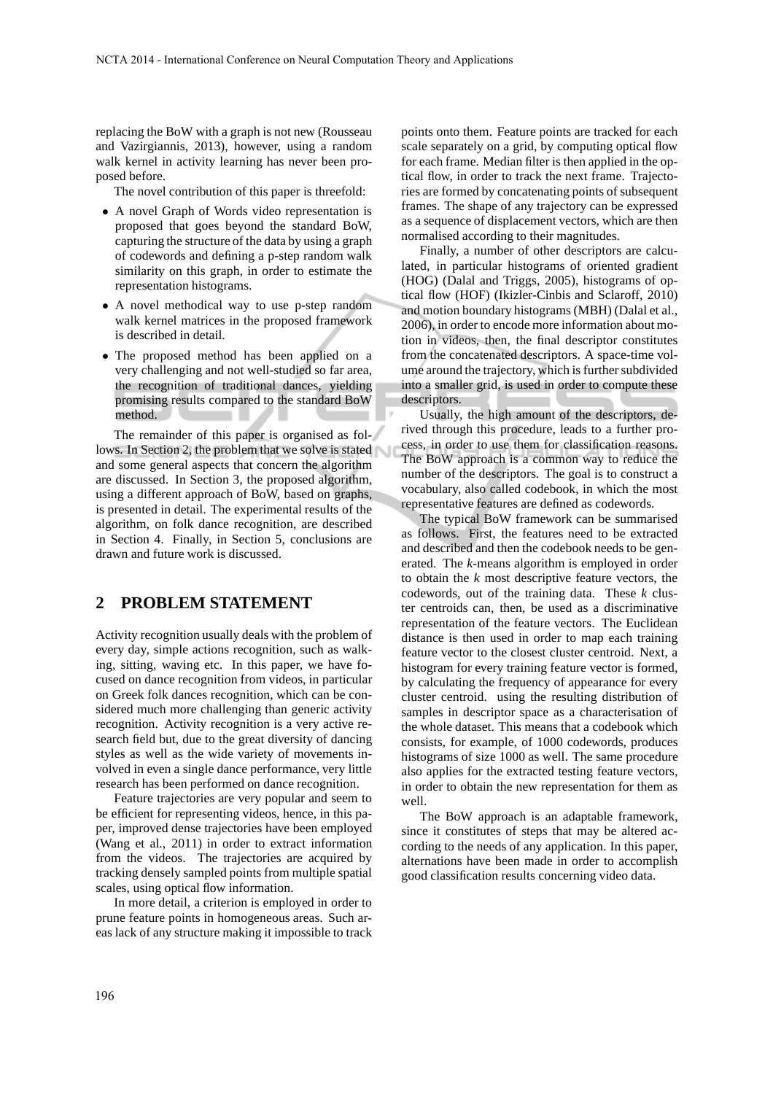replacing the BoW with a graph is not new (Rousseau and Vazirgiannis, 2013), however, using a random walk kernel in activity learning has never been proposed before.

The novel contribution of this paper is threefold:

- A novel Graph of Words video representation is proposed that goes beyond the standard BoW, capturing the structure of the data by using a graph of codewords and defining a p-step random walk similarity on this graph, in order to estimate the representation histograms.
- A novel methodical way to use p-step random walk kernel matrices in the proposed framework is described in detail.
- The proposed method has been applied on a very challenging and not well-studied so far area, the recognition of traditional dances, yielding promising results compared to the standard BoW method.

The remainder of this paper is organised as follows. In Section 2, the problem that we solve is stated and some general aspects that concern the algorithm are discussed. In Section 3, the proposed algorithm, using a different approach of BoW, based on graphs, is presented in detail. The experimental results of the algorithm, on folk dance recognition, are described in Section 4. Finally, in Section 5, conclusions are drawn and future work is discussed.

### **2 PROBLEM STATEMENT**

Activity recognition usually deals with the problem of every day, simple actions recognition, such as walking, sitting, waving etc. In this paper, we have focused on dance recognition from videos, in particular on Greek folk dances recognition, which can be considered much more challenging than generic activity recognition. Activity recognition is a very active research field but, due to the great diversity of dancing styles as well as the wide variety of movements involved in even a single dance performance, very little research has been performed on dance recognition.

Feature trajectories are very popular and seem to be efficient for representing videos, hence, in this paper, improved dense trajectories have been employed (Wang et al., 2011) in order to extract information from the videos. The trajectories are acquired by tracking densely sampled points from multiple spatial scales, using optical flow information.

In more detail, a criterion is employed in order to prune feature points in homogeneous areas. Such areas lack of any structure making it impossible to track points onto them. Feature points are tracked for each scale separately on a grid, by computing optical flow for each frame. Median filter is then applied in the optical flow, in order to track the next frame. Trajectories are formed by concatenating points of subsequent frames. The shape of any trajectory can be expressed as a sequence of displacement vectors, which are then normalised according to their magnitudes.

Finally, a number of other descriptors are calculated, in particular histograms of oriented gradient (HOG) (Dalal and Triggs, 2005), histograms of optical flow (HOF) (Ikizler-Cinbis and Sclaroff, 2010) and motion boundary histograms (MBH) (Dalal et al., 2006), in order to encode more information about motion in videos, then, the final descriptor constitutes from the concatenated descriptors. A space-time volume around the trajectory, which is further subdivided into a smaller grid, is used in order to compute these descriptors.

Usually, the high amount of the descriptors, derived through this procedure, leads to a further process, in order to use them for classification reasons. The BoW approach is a common way to reduce the number of the descriptors. The goal is to construct a vocabulary, also called codebook, in which the most representative features are defined as codewords.

The typical BoW framework can be summarised as follows. First, the features need to be extracted and described and then the codebook needs to be generated. The *k*-means algorithm is employed in order to obtain the *k* most descriptive feature vectors, the codewords, out of the training data. These *k* cluster centroids can, then, be used as a discriminative representation of the feature vectors. The Euclidean distance is then used in order to map each training feature vector to the closest cluster centroid. Next, a histogram for every training feature vector is formed, by calculating the frequency of appearance for every cluster centroid. using the resulting distribution of samples in descriptor space as a characterisation of the whole dataset. This means that a codebook which consists, for example, of 1000 codewords, produces histograms of size 1000 as well. The same procedure also applies for the extracted testing feature vectors, in order to obtain the new representation for them as well.

The BoW approach is an adaptable framework, since it constitutes of steps that may be altered according to the needs of any application. In this paper, alternations have been made in order to accomplish good classification results concerning video data.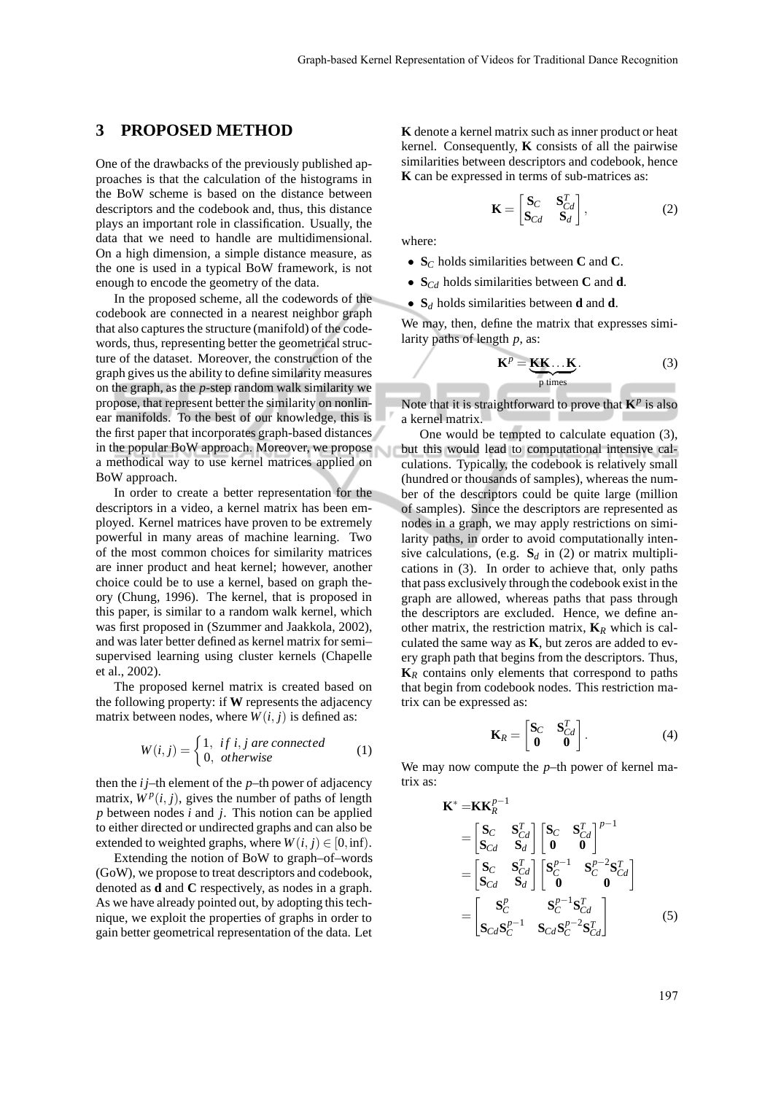### **3 PROPOSED METHOD**

One of the drawbacks of the previously published approaches is that the calculation of the histograms in the BoW scheme is based on the distance between descriptors and the codebook and, thus, this distance plays an important role in classification. Usually, the data that we need to handle are multidimensional. On a high dimension, a simple distance measure, as the one is used in a typical BoW framework, is not enough to encode the geometry of the data.

In the proposed scheme, all the codewords of the codebook are connected in a nearest neighbor graph that also captures the structure (manifold) of the codewords, thus, representing better the geometrical structure of the dataset. Moreover, the construction of the graph gives us the ability to define similarity measures on the graph, as the *p*-step random walk similarity we propose, that represent better the similarity on nonlinear manifolds. To the best of our knowledge, this is the first paper that incorporates graph-based distances in the popular BoW approach. Moreover, we propose a methodical way to use kernel matrices applied on BoW approach.

In order to create a better representation for the descriptors in a video, a kernel matrix has been employed. Kernel matrices have proven to be extremely powerful in many areas of machine learning. Two of the most common choices for similarity matrices are inner product and heat kernel; however, another choice could be to use a kernel, based on graph theory (Chung, 1996). The kernel, that is proposed in this paper, is similar to a random walk kernel, which was first proposed in (Szummer and Jaakkola, 2002), and was later better defined as kernel matrix for semi– supervised learning using cluster kernels (Chapelle et al., 2002).

The proposed kernel matrix is created based on the following property: if **W** represents the adjacency matrix between nodes, where  $W(i, j)$  is defined as:

$$
W(i,j) = \begin{cases} 1, & if i, j \text{ are connected} \\ 0, & otherwise \end{cases}
$$
 (1)

then the *i j*–th element of the *p*–th power of adjacency matrix,  $W^p(i, j)$ , gives the number of paths of length *p* between nodes *i* and *j*. This notion can be applied to either directed or undirected graphs and can also be extended to weighted graphs, where  $W(i, j) \in [0, inf)$ .

Extending the notion of BoW to graph–of–words (GoW), we propose to treat descriptors and codebook, denoted as **d** and **C** respectively, as nodes in a graph. As we have already pointed out, by adopting this technique, we exploit the properties of graphs in order to gain better geometrical representation of the data. Let **K** denote a kernel matrix such as inner product or heat kernel. Consequently, **K** consists of all the pairwise similarities between descriptors and codebook, hence **K** can be expressed in terms of sub-matrices as:

$$
\mathbf{K} = \begin{bmatrix} \mathbf{S}_C & \mathbf{S}_{Cd}^T \\ \mathbf{S}_{Cd} & \mathbf{S}_d \end{bmatrix},\tag{2}
$$

where:

- **S***<sup>C</sup>* holds similarities between **C** and **C**.
- **S***Cd* holds similarities between **C** and **d**.
- **S***<sup>d</sup>* holds similarities between **d** and **d**.

We may, then, define the matrix that expresses similarity paths of length *p*, as:

$$
\mathbf{K}^{p} = \underbrace{\mathbf{K}\mathbf{K}\dots\mathbf{K}}_{p \text{ times}}.\tag{3}
$$

Note that it is straightforward to prove that  $\mathbf{K}^p$  is also a kernel matrix.

One would be tempted to calculate equation (3), but this would lead to computational intensive calculations. Typically, the codebook is relatively small (hundred or thousands of samples), whereas the number of the descriptors could be quite large (million of samples). Since the descriptors are represented as nodes in a graph, we may apply restrictions on similarity paths, in order to avoid computationally intensive calculations, (e.g.  $S_d$  in (2) or matrix multiplications in (3). In order to achieve that, only paths that pass exclusively through the codebook exist in the graph are allowed, whereas paths that pass through the descriptors are excluded. Hence, we define another matrix, the restriction matrix,  $\mathbf{K}_R$  which is calculated the same way as **K**, but zeros are added to every graph path that begins from the descriptors. Thus, **K***<sup>R</sup>* contains only elements that correspond to paths that begin from codebook nodes. This restriction matrix can be expressed as:

$$
\mathbf{K}_R = \begin{bmatrix} \mathbf{S}_C & \mathbf{S}_{Cd}^T \\ \mathbf{0} & \mathbf{0} \end{bmatrix} . \tag{4}
$$

We may now compute the *p*–th power of kernel matrix as:

$$
\mathbf{K}^* = \mathbf{K} \mathbf{K}_R^{p-1}
$$
\n
$$
= \begin{bmatrix} \mathbf{S}_C & \mathbf{S}_{Cd}^T \\ \mathbf{S}_{Cd} & \mathbf{S}_d \end{bmatrix} \begin{bmatrix} \mathbf{S}_C & \mathbf{S}_{Cd}^T \\ \mathbf{0} & \mathbf{0} \end{bmatrix}^{p-1}
$$
\n
$$
= \begin{bmatrix} \mathbf{S}_C & \mathbf{S}_{Cd}^T \\ \mathbf{S}_{Cd} & \mathbf{S}_d \end{bmatrix} \begin{bmatrix} \mathbf{S}_C^{p-1} & \mathbf{S}_C^{p-2} \mathbf{S}_{Cd}^T \\ \mathbf{0} & \mathbf{0} \end{bmatrix}
$$
\n
$$
= \begin{bmatrix} \mathbf{S}_C^p & \mathbf{S}_C^{p-1} \mathbf{S}_{Cd}^T \\ \mathbf{S}_{Cd} \mathbf{S}_C^{p-1} & \mathbf{S}_{Cd} \mathbf{S}_C^{p-2} \mathbf{S}_{Cd}^T \end{bmatrix} \tag{5}
$$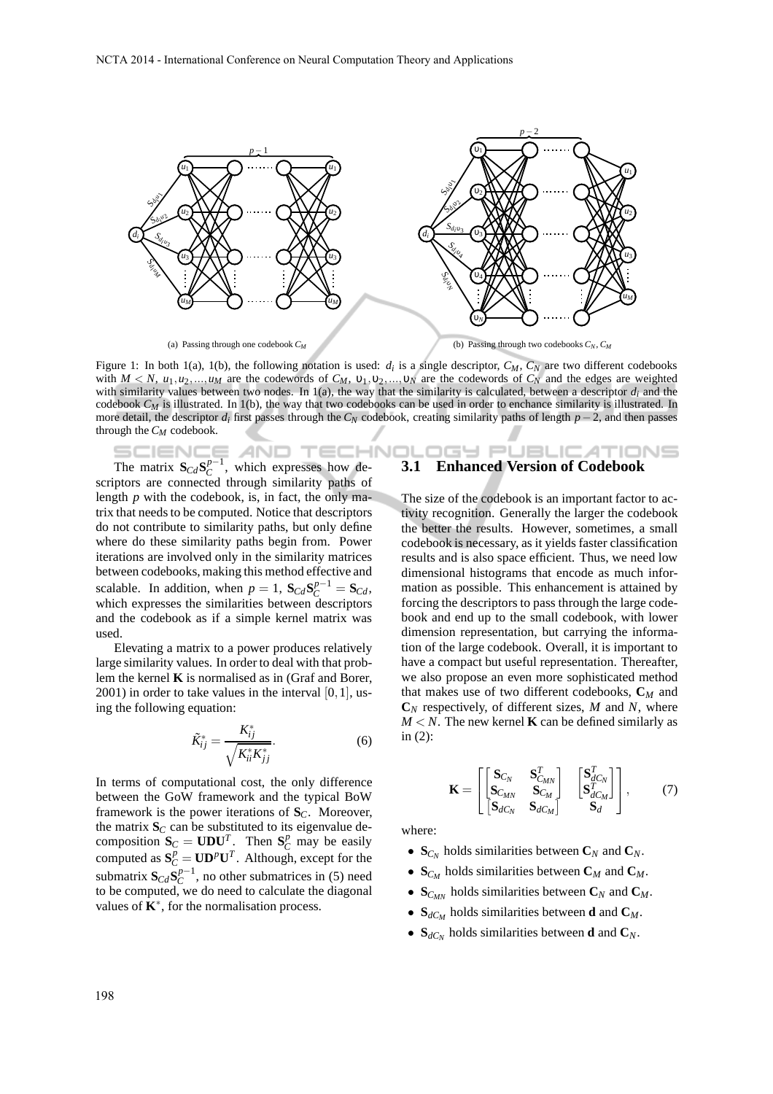

Figure 1: In both 1(a), 1(b), the following notation is used:  $d_i$  is a single descriptor,  $C_M$ ,  $C_N$  are two different codebooks with  $M < N$ ,  $u_1, u_2, \ldots, u_M$  are the codewords of  $C_M$ ,  $v_1, v_2, \ldots, v_N$  are the codewords of  $C_N$  and the edges are weighted with similarity values between two nodes. In 1(a), the way that the similarity is calculated, between a descriptor *d<sup>i</sup>* and the codebook *C<sup>M</sup>* is illustrated. In 1(b), the way that two codebooks can be used in order to enchance similarity is illustrated. In more detail, the descriptor *d<sup>i</sup>* first passes through the *C<sup>N</sup>* codebook, creating similarity paths of length *p*−2, and then passes through the *C<sup>M</sup>* codebook.

The matrix  $S_{Cd}S_C^{p-1}$ , which expresses how descriptors are connected through similarity paths of length *p* with the codebook, is, in fact, the only matrix that needs to be computed. Notice that descriptors do not contribute to similarity paths, but only define where do these similarity paths begin from. Power iterations are involved only in the similarity matrices between codebooks, making this method effective and scalable. In addition, when  $p = 1$ ,  $S_{Cd}S_C^{p-1} = S_{Cd}$ , which expresses the similarities between descriptors and the codebook as if a simple kernel matrix was used.

Elevating a matrix to a power produces relatively large similarity values. In order to deal with that problem the kernel **K** is normalised as in (Graf and Borer,  $2001$ ) in order to take values in the interval [0, 1], using the following equation:

$$
\tilde{K}_{ij}^* = \frac{K_{ij}^*}{\sqrt{K_{ii}^* K_{jj}^*}}.\tag{6}
$$

In terms of computational cost, the only difference between the GoW framework and the typical BoW framework is the power iterations of **S***C*. Moreover, the matrix  $S_C$  can be substituted to its eigenvalue decomposition  $\mathbf{S}_C = \mathbf{U} \mathbf{D} \mathbf{U}^T$ . Then  $\mathbf{S}_C^p$  may be easily computed as  $S_C^p = \mathbf{U} \mathbf{D}^p \mathbf{U}^T$ . Although, except for the submatrix  $\mathbf{S}_{Cd} \mathbf{S}_{C}^{p-1}$ , no other submatrices in (5) need to be computed, we do need to calculate the diagonal values of  $\mathbf{K}^*$ , for the normalisation process.

#### **3.1 Enhanced Version of Codebook**

JBLIC

ATIONS

IGY Pl

The size of the codebook is an important factor to activity recognition. Generally the larger the codebook the better the results. However, sometimes, a small codebook is necessary, as it yields faster classification results and is also space efficient. Thus, we need low dimensional histograms that encode as much information as possible. This enhancement is attained by forcing the descriptors to pass through the large codebook and end up to the small codebook, with lower dimension representation, but carrying the information of the large codebook. Overall, it is important to have a compact but useful representation. Thereafter, we also propose an even more sophisticated method that makes use of two different codebooks, **C***<sup>M</sup>* and **C***<sup>N</sup>* respectively, of different sizes, *M* and *N*, where  $M < N$ . The new kernel **K** can be defined similarly as in (2):

$$
\mathbf{K} = \begin{bmatrix} \begin{bmatrix} \mathbf{S}_{C_N} & \mathbf{S}_{C_{MN}}^T \\ \mathbf{S}_{C_{MN}} & \mathbf{S}_{C_M} \end{bmatrix} & \begin{bmatrix} \mathbf{S}_{dC_N}^T \\ \mathbf{S}_{dC_M}^T \end{bmatrix} \\ \begin{bmatrix} \mathbf{S}_{dC_N} & \mathbf{S}_{dC_M} \end{bmatrix} & \mathbf{S}_d \end{bmatrix}, \qquad (7)
$$

where:

- $S_{C_N}$  holds similarities between  $C_N$  and  $C_N$ .
- $S_{C_M}$  holds similarities between  $C_M$  and  $C_M$ .
- $S_{C_{MN}}$  holds similarities between  $C_N$  and  $C_M$ .
- $S_{dC_M}$  holds similarities between **d** and  $C_M$ .
- $S_{dC_N}$  holds similarities between **d** and  $C_N$ .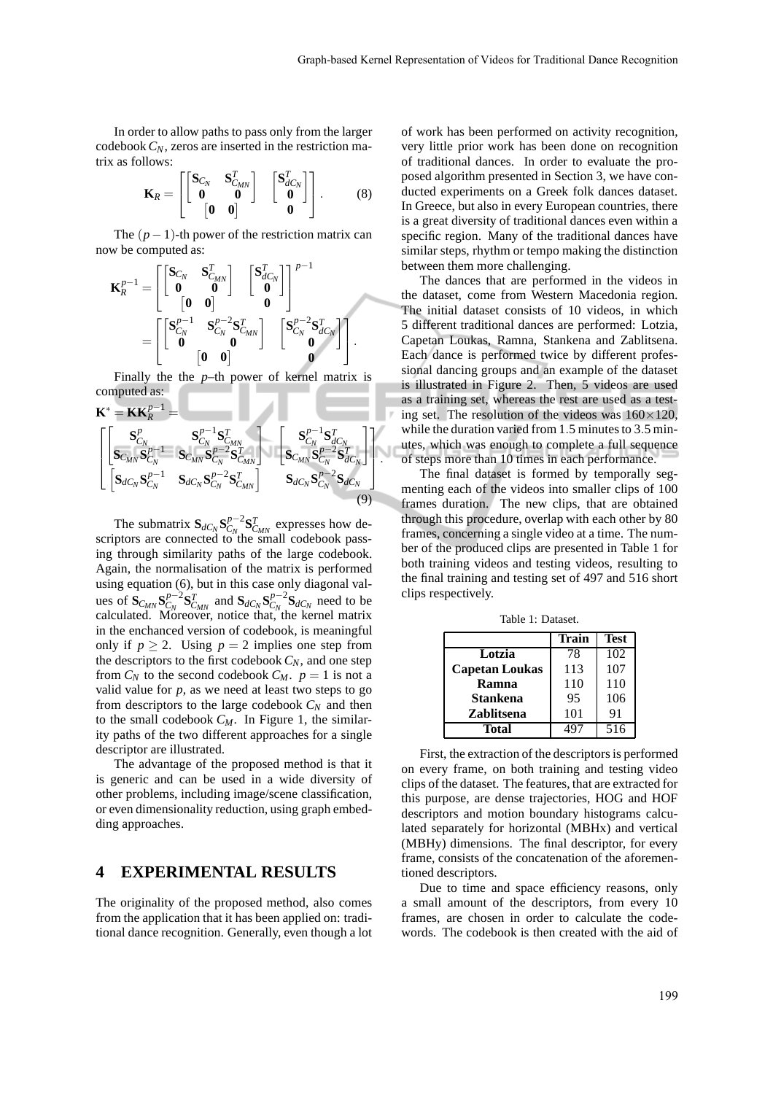In order to allow paths to pass only from the larger codebook*CN*, zeros are inserted in the restriction matrix as follows:

$$
\mathbf{K}_{R} = \begin{bmatrix} \begin{bmatrix} \mathbf{S}_{C_{N}} & \mathbf{S}_{C_{MN}}^{T} \\ \mathbf{0} & \mathbf{0} \end{bmatrix} & \begin{bmatrix} \mathbf{S}_{dC_{N}}^{T} \\ \mathbf{0} & \mathbf{0} \end{bmatrix} \end{bmatrix} . \tag{8}
$$

The  $(p-1)$ -th power of the restriction matrix can now be computed as:

$$
\mathbf{K}_{R}^{p-1} = \begin{bmatrix} \begin{bmatrix} \mathbf{S}_{C_{N}} & \mathbf{S}_{C_{MN}}^{T} \\ \mathbf{0} & \mathbf{0} \end{bmatrix} & \begin{bmatrix} \mathbf{S}_{dC_{N}}^{T} \\ \mathbf{0} \end{bmatrix} \end{bmatrix}^{p-1} \\ = \begin{bmatrix} \begin{bmatrix} \mathbf{S}_{C_{N}}^{p-1} & \mathbf{S}_{C_{N}}^{p-2} \mathbf{S}_{C_{MN}}^{T} \\ \mathbf{0} & \mathbf{0} \end{bmatrix} & \begin{bmatrix} \mathbf{S}_{C_{N}}^{p-2} \mathbf{S}_{dC_{N}}^{T} \\ \mathbf{0} & \mathbf{0} \end{bmatrix} \end{bmatrix}.
$$

Finally the the *p*–th power of kernel matrix is computed as:

$$
\mathbf{K}^{*} = \mathbf{K} \mathbf{K}_{R}^{p-1} = \begin{bmatrix} \mathbf{S}_{C_{N}}^{p} & \mathbf{S}_{C_{N}}^{p-1} \mathbf{S}_{C_{MN}}^{T} \\ \mathbf{S}_{C_{MN}} \mathbf{S}_{C_{N}}^{p-1} & \mathbf{S}_{C_{MN}} \mathbf{S}_{C_{N}}^{p-2} \mathbf{S}_{C_{MN}}^{T} \\ \begin{bmatrix} \mathbf{S}_{C_{MN}} \mathbf{S}_{C_{N}}^{p-2} & \mathbf{S}_{C_{MN}} \mathbf{S}_{C_{N}}^{p-2} \mathbf{S}_{C_{N}}^{T} \\ \mathbf{S}_{dC_{N}} \mathbf{S}_{C_{N}}^{p-1} & \mathbf{S}_{dC_{N}} \mathbf{S}_{C_{N}}^{p-2} \mathbf{S}_{C_{MN}}^{T} \end{bmatrix} & \mathbf{S}_{dC_{N}} \mathbf{S}_{C_{N}}^{p-2} \mathbf{S}_{dC_{N}} \end{bmatrix}.
$$
\n(9)

The submatrix  $\mathbf{S}_{dC_N} \mathbf{S}_{C_N}^{p-2}$  $^{p-2}_{C_N}$ **S** $^{T}_{C_{MN}}$  expresses how descriptors are connected to the small codebook passing through similarity paths of the large codebook. Again, the normalisation of the matrix is performed using equation (6), but in this case only diagonal values of  $\mathbf{S}_{C_{MN}} \mathbf{S}_{C_N}^{p-2}$  ${}^{p-2}_{C_N}$ **S** ${}^{T}_{C_{MN}}$  and **S***dC<sub>N</sub>***S** ${}^{p-2}_{C_N}$  $\int_{C_N}^{P-2} S_{dC_N}$  need to be calculated. Moreover, notice that, the kernel matrix in the enchanced version of codebook, is meaningful only if  $p \ge 2$ . Using  $p = 2$  implies one step from the descriptors to the first codebook  $C_N$ , and one step from  $C_N$  to the second codebook  $C_M$ .  $p = 1$  is not a valid value for  $p$ , as we need at least two steps to go from descriptors to the large codebook  $C_N$  and then to the small codebook *CM*. In Figure 1, the similarity paths of the two different approaches for a single descriptor are illustrated.

The advantage of the proposed method is that it is generic and can be used in a wide diversity of other problems, including image/scene classification, or even dimensionality reduction, using graph embedding approaches.

#### **4 EXPERIMENTAL RESULTS**

The originality of the proposed method, also comes from the application that it has been applied on: traditional dance recognition. Generally, even though a lot of work has been performed on activity recognition, very little prior work has been done on recognition of traditional dances. In order to evaluate the proposed algorithm presented in Section 3, we have conducted experiments on a Greek folk dances dataset. In Greece, but also in every European countries, there is a great diversity of traditional dances even within a specific region. Many of the traditional dances have similar steps, rhythm or tempo making the distinction between them more challenging.

The dances that are performed in the videos in the dataset, come from Western Macedonia region. The initial dataset consists of 10 videos, in which 5 different traditional dances are performed: Lotzia, Capetan Loukas, Ramna, Stankena and Zablitsena. Each dance is performed twice by different professional dancing groups and an example of the dataset is illustrated in Figure 2. Then, 5 videos are used as a training set, whereas the rest are used as a testing set. The resolution of the videos was  $160\times120$ , while the duration varied from 1.5 minutes to 3.5 minutes, which was enough to complete a full sequence of steps more than 10 times in each performance.

The final dataset is formed by temporally segmenting each of the videos into smaller clips of 100 frames duration. The new clips, that are obtained through this procedure, overlap with each other by 80 frames, concerning a single video at a time. The number of the produced clips are presented in Table 1 for both training videos and testing videos, resulting to the final training and testing set of 497 and 516 short clips respectively.

Table 1: Dataset.

|                       | Train | <b>Test</b> |
|-----------------------|-------|-------------|
| Lotzia                | 78    | 102         |
| <b>Capetan Loukas</b> | 113   | 107         |
| Ramna                 | 110   | 110         |
| Stankena              | 95    | 106         |
| <b>Zablitsena</b>     | 101   | 91          |
| Total                 |       | 516         |

First, the extraction of the descriptors is performed on every frame, on both training and testing video clips of the dataset. The features, that are extracted for this purpose, are dense trajectories, HOG and HOF descriptors and motion boundary histograms calculated separately for horizontal (MBHx) and vertical (MBHy) dimensions. The final descriptor, for every frame, consists of the concatenation of the aforementioned descriptors.

Due to time and space efficiency reasons, only a small amount of the descriptors, from every 10 frames, are chosen in order to calculate the codewords. The codebook is then created with the aid of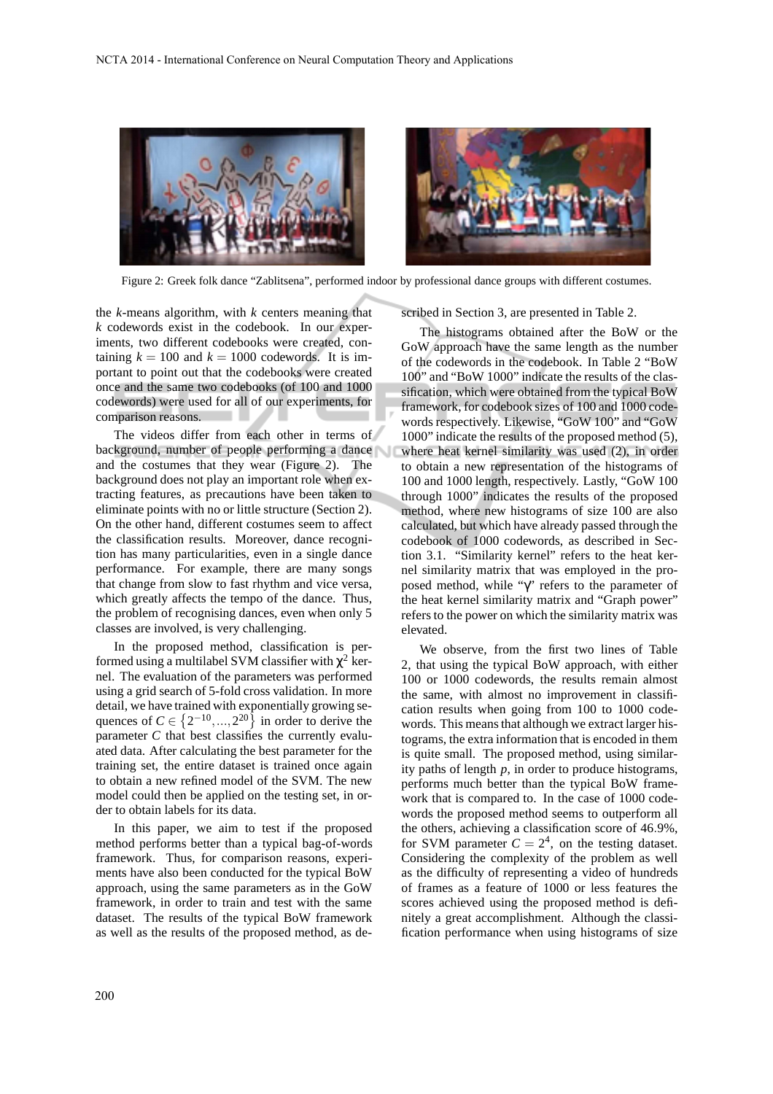

Figure 2: Greek folk dance "Zablitsena", performed indoor by professional dance groups with different costumes.

the *k*-means algorithm, with *k* centers meaning that *k* codewords exist in the codebook. In our experiments, two different codebooks were created, containing  $k = 100$  and  $k = 1000$  codewords. It is important to point out that the codebooks were created once and the same two codebooks (of 100 and 1000 codewords) were used for all of our experiments, for comparison reasons.

The videos differ from each other in terms of background, number of people performing a dance and the costumes that they wear (Figure 2). The background does not play an important role when extracting features, as precautions have been taken to eliminate points with no or little structure (Section 2). On the other hand, different costumes seem to affect the classification results. Moreover, dance recognition has many particularities, even in a single dance performance. For example, there are many songs that change from slow to fast rhythm and vice versa, which greatly affects the tempo of the dance. Thus, the problem of recognising dances, even when only 5 classes are involved, is very challenging.

In the proposed method, classification is performed using a multilabel SVM classifier with  $\chi^2$  kernel. The evaluation of the parameters was performed using a grid search of 5-fold cross validation. In more detail, we have trained with exponentially growing sequences of  $C \in \{2^{-10}, ..., 2^{20}\}\$ in order to derive the parameter *C* that best classifies the currently evaluated data. After calculating the best parameter for the training set, the entire dataset is trained once again to obtain a new refined model of the SVM. The new model could then be applied on the testing set, in order to obtain labels for its data.

In this paper, we aim to test if the proposed method performs better than a typical bag-of-words framework. Thus, for comparison reasons, experiments have also been conducted for the typical BoW approach, using the same parameters as in the GoW framework, in order to train and test with the same dataset. The results of the typical BoW framework as well as the results of the proposed method, as described in Section 3, are presented in Table 2.

The histograms obtained after the BoW or the GoW approach have the same length as the number of the codewords in the codebook. In Table 2 "BoW 100" and "BoW 1000" indicate the results of the classification, which were obtained from the typical BoW framework, for codebook sizes of 100 and 1000 codewords respectively. Likewise, "GoW 100" and "GoW 1000" indicate the results of the proposed method (5), where heat kernel similarity was used (2), in order to obtain a new representation of the histograms of 100 and 1000 length, respectively. Lastly, "GoW 100 through 1000" indicates the results of the proposed method, where new histograms of size 100 are also calculated, but which have already passed through the codebook of 1000 codewords, as described in Section 3.1. "Similarity kernel" refers to the heat kernel similarity matrix that was employed in the proposed method, while "γ" refers to the parameter of the heat kernel similarity matrix and "Graph power" refers to the power on which the similarity matrix was elevated.

We observe, from the first two lines of Table 2, that using the typical BoW approach, with either 100 or 1000 codewords, the results remain almost the same, with almost no improvement in classification results when going from 100 to 1000 codewords. This means that although we extract larger histograms, the extra information that is encoded in them is quite small. The proposed method, using similarity paths of length *p*, in order to produce histograms, performs much better than the typical BoW framework that is compared to. In the case of 1000 codewords the proposed method seems to outperform all the others, achieving a classification score of 46.9%, for SVM parameter  $C = 2<sup>4</sup>$ , on the testing dataset. Considering the complexity of the problem as well as the difficulty of representing a video of hundreds of frames as a feature of 1000 or less features the scores achieved using the proposed method is definitely a great accomplishment. Although the classification performance when using histograms of size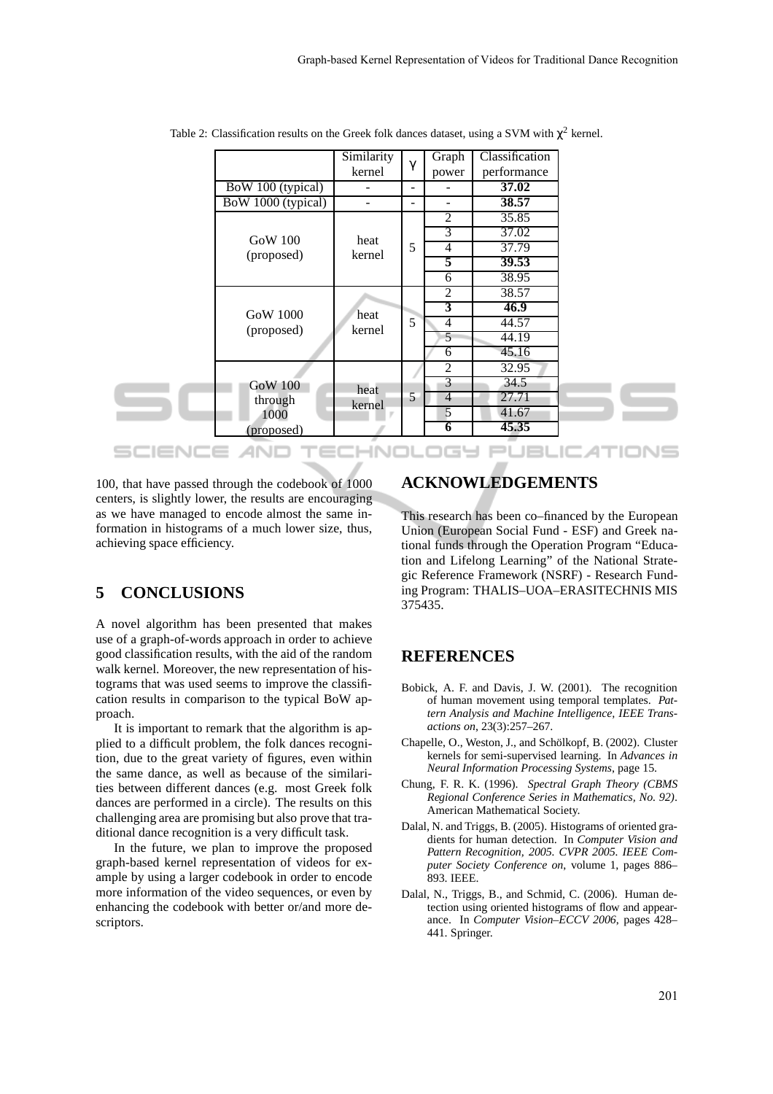|                                                                                                                   |                   | Similarity               | $\gamma$                 | Graph                   | Classification |  |
|-------------------------------------------------------------------------------------------------------------------|-------------------|--------------------------|--------------------------|-------------------------|----------------|--|
|                                                                                                                   |                   | kernel                   |                          | power                   | performance    |  |
|                                                                                                                   | BoW 100 (typical) |                          | $\overline{\phantom{a}}$ |                         | 37.02          |  |
| BoW 1000 (typical)<br><b>GoW 100</b><br>(proposed)<br>GoW 1000<br>(proposed)<br><b>GoW</b> 100<br>through<br>1000 |                   | $\overline{\phantom{0}}$ | $\overline{\phantom{a}}$ |                         | 38.57          |  |
|                                                                                                                   |                   | heat<br>kernel           | 5                        | $\overline{2}$          | 35.85          |  |
|                                                                                                                   |                   |                          |                          | 3                       | 37.02          |  |
|                                                                                                                   |                   |                          |                          | $\overline{4}$          | 37.79          |  |
|                                                                                                                   |                   |                          |                          | 5                       | 39.53          |  |
|                                                                                                                   |                   |                          |                          | 6                       | 38.95          |  |
|                                                                                                                   |                   | heat<br>kernel           | 5                        | $\overline{2}$          | 38.57          |  |
|                                                                                                                   |                   |                          |                          | $\overline{\mathbf{3}}$ | 46.9           |  |
|                                                                                                                   |                   |                          |                          | $\overline{4}$          | 44.57          |  |
|                                                                                                                   |                   |                          | 5                        | 44.19                   |                |  |
|                                                                                                                   |                   |                          |                          | 6                       | 45.16          |  |
|                                                                                                                   |                   | heat<br>kernel           |                          | $\overline{2}$          | 32.95          |  |
|                                                                                                                   |                   |                          | 5                        | 3                       | 34.5           |  |
|                                                                                                                   |                   |                          |                          | $\overline{4}$          | 27.71          |  |
|                                                                                                                   |                   |                          |                          | 5                       | 41.67          |  |
|                                                                                                                   | (proposed)        |                          |                          | 6                       | 45.35          |  |
|                                                                                                                   |                   |                          |                          |                         |                |  |

Table 2: Classification results on the Greek folk dances dataset, using a SVM with  $\chi^2$  kernel.

100, that have passed through the codebook of 1000 centers, is slightly lower, the results are encouraging as we have managed to encode almost the same information in histograms of a much lower size, thus, achieving space efficiency.

### **5 CONCLUSIONS**

A novel algorithm has been presented that makes use of a graph-of-words approach in order to achieve good classification results, with the aid of the random walk kernel. Moreover, the new representation of histograms that was used seems to improve the classification results in comparison to the typical BoW approach.

It is important to remark that the algorithm is applied to a difficult problem, the folk dances recognition, due to the great variety of figures, even within the same dance, as well as because of the similarities between different dances (e.g. most Greek folk dances are performed in a circle). The results on this challenging area are promising but also prove that traditional dance recognition is a very difficult task.

In the future, we plan to improve the proposed graph-based kernel representation of videos for example by using a larger codebook in order to encode more information of the video sequences, or even by enhancing the codebook with better or/and more descriptors.

## **ACKNOWLEDGEMENTS**

This research has been co–financed by the European Union (European Social Fund - ESF) and Greek national funds through the Operation Program "Education and Lifelong Learning" of the National Strategic Reference Framework (NSRF) - Research Funding Program: THALIS–UOA–ERASITECHNIS MIS 375435.

### **REFERENCES**

- Bobick, A. F. and Davis, J. W. (2001). The recognition of human movement using temporal templates. *Pattern Analysis and Machine Intelligence, IEEE Transactions on*, 23(3):257–267.
- Chapelle, O., Weston, J., and Schölkopf, B. (2002). Cluster kernels for semi-supervised learning. In *Advances in Neural Information Processing Systems*, page 15.
- Chung, F. R. K. (1996). *Spectral Graph Theory (CBMS Regional Conference Series in Mathematics, No. 92)*. American Mathematical Society.
- Dalal, N. and Triggs, B. (2005). Histograms of oriented gradients for human detection. In *Computer Vision and Pattern Recognition, 2005. CVPR 2005. IEEE Computer Society Conference on*, volume 1, pages 886– 893. IEEE.
- Dalal, N., Triggs, B., and Schmid, C. (2006). Human detection using oriented histograms of flow and appearance. In *Computer Vision–ECCV 2006*, pages 428– 441. Springer.